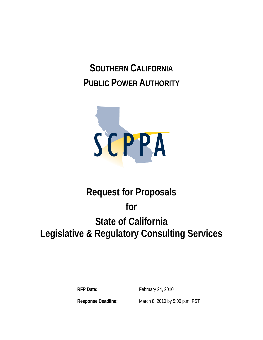**SOUTHERN CALIFORNIA PUBLIC POWER AUTHORITY**



# **Request for Proposals for State of California Legislative & Regulatory Consulting Services**

RFP Date: February 24, 2010

**Response Deadline:** March 8, 2010 by 5:00 p.m. PST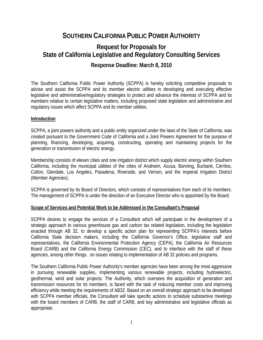## **SOUTHERN CALIFORNIA PUBLIC POWER AUTHORITY**

## **Request for Proposals for State of California Legislative and Regulatory Consulting Services**

### **Response Deadline: March 8, 2010**

The Southern California Public Power Authority (SCPPA) is hereby soliciting competitive proposals to advise and assist the SCPPA and its member electric utilities in developing and executing effective legislative and administrative/regulatory strategies to protect and advance the interests of SCPPA and its members relative to certain legislative matters, including proposed state legislation and administrative and regulatory issues which affect SCPPA and its member utilities.

#### **Introduction**

SCPPA, a joint powers authority and a public entity organized under the laws of the State of California, was created pursuant to the Government Code of California and a Joint Powers Agreement for the purpose of planning, financing, developing, acquiring, constructing, operating and maintaining projects for the generation or transmission of electric energy.

Membership consists of eleven cities and one irrigation district which supply electric energy within Southern California, including the municipal utilities of the cities of Anaheim, Azusa, Banning, Burbank, Cerritos, Colton, Glendale, Los Angeles, Pasadena, Riverside, and Vernon, and the Imperial Irrigation District (Member Agencies).

SCPPA is governed by its Board of Directors, which consists of representatives from each of its members. The management of SCPPA is under the direction of an Executive Director who is appointed by the Board.

#### **Scope of Services and Potential Work to be Addressed in the Consultant's Proposal**

SCPPA desires to engage the services of a Consultant which will participate in the development of a strategic approach to various greenhouse gas and carbon tax related legislation, including the legislation enacted through AB 32, to develop a specific action plan for representing SCPPA's interests before California State decision makers, including the California Governor's Office, legislative staff and representatives, the California Environmental Protection Agency (CEPA), the California Air Resources Board (CARB) and the California Energy Commission (CEC), and to interface with the staff of these agencies, among other things. on issues relating to implementation of AB 32 policies and programs.

The Southern California Public Power Authority's member agencies have been among the most aggressive in pursuing renewable supplies, implementing various renewable projects, including hydroelectric, geothermal, wind and solar projects. The Authority, which oversees the acquisition of generation and transmission resources for its members, is faced with the task of reducing member costs and improving efficiency while meeting the requirements of AB32. Based on an overall strategic approach to be developed with SCPPA member officials, the Consultant will take specific actions to schedule substantive meetings with the board members of CARB, the staff of CARB, and key administrative and legislative officials as appropriate.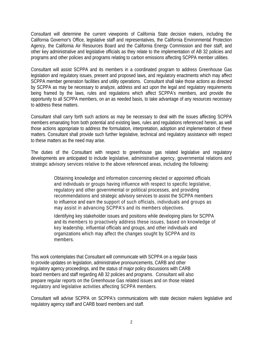Consultant will determine the current viewpoints of California State decision makers, including the California Governor's Office, legislative staff and representatives, the California Environmental Protection Agency, the California Air Resources Board and the California Energy Commission and their staff, and other key administrative and legislative officials as they relate to the implementation of AB 32 policies and programs and other policies and programs relating to carbon emissions affecting SCPPA member utilities.

Consultant will assist SCPPA and its members in a coordinated program to address Greenhouse Gas legislation and regulatory issues, present and proposed laws, and regulatory enactments which may affect SCPPA member generation facilities and utility operations. Consultant shall take those actions as directed by SCPPA as may be necessary to analyze, address and act upon the legal and regulatory requirements being framed by the laws, rules and regulations which affect SCPPA's members, and provide the opportunity to all SCPPA members, on an as needed basis, to take advantage of any resources necessary to address these matters.

Consultant shall carry forth such actions as may be necessary to deal with the issues affecting SCPPA members emanating from both potential and existing laws, rules and regulations referenced herein, as well those actions appropriate to address the formulation, interpretation, adoption and implementation of these matters. Consultant shall provide such further legislative, technical and regulatory assistance with respect to these matters as the need may arise.

The duties of the Consultant with respect to greenhouse gas related legislative and regulatory developments are anticipated to include legislative, administrative agency, governmental relations and strategic advisory services relative to the above referenced areas, including the following:

> Obtaining knowledge and information concerning elected or appointed officials and individuals or groups having influence with respect to specific legislative, regulatory and other governmental or political processes, and providing recommendations and strategic advisory services to assist the SCPPA members to influence and earn the support of such officials, individuals and groups as may assist in advancing SCPPA's and its members objectives.

Identifying key stakeholder issues and positions while developing plans for SCPPA and its members to proactively address these issues, based on knowledge of key leadership, influential officials and groups, and other individuals and organizations which may affect the changes sought by SCPPA and its members.

This work contemplates that Consultant will communicate with SCPPA on a regular basis to provide updates on legislation, administrative pronouncements, CARB and other regulatory agency proceedings, and the status of major policy discussions with CARB board members and staff regarding AB 32 policies and programs. Consultant will also prepare regular reports on the Greenhouse Gas related issues and on those related regulatory and legislative activities affecting SCPPA members.

Consultant will advise SCPPA on SCPPA's communications with state decision makers legislative and regulatory agency staff and CARB board members and staff.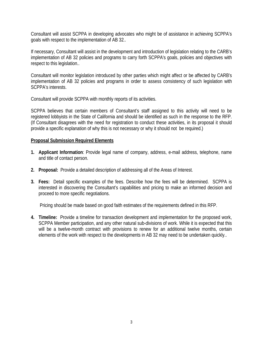Consultant will assist SCPPA in developing advocates who might be of assistance in achieving SCPPA's goals with respect to the implementation of AB 32..

If necessary, Consultant will assist in the development and introduction of legislation relating to the CARB's implementation of AB 32 policies and programs to carry forth SCPPA's goals, policies and objectives with respect to this legislation..

Consultant will monitor legislation introduced by other parties which might affect or be affected by CARB's implementation of AB 32 policies and programs in order to assess consistency of such legislation with SCPPA's interests.

Consultant will provide SCPPA with monthly reports of its activities.

SCPPA believes that certain members of Consultant's staff assigned to this activity will need to be registered lobbyists in the State of California and should be identified as such in the response to the RFP. (If Consultant disagrees with the need for registration to conduct these activities, in its proposal it should provide a specific explanation of why this is not necessary or why it should not be required.)

#### **Proposal Submission Required Elements**

- **1. Applicant Information**: Provide legal name of company, address, e-mail address, telephone, name and title of contact person.
- **2. Proposal:** Provide a detailed description of addressing all of the Areas of Interest.
- **3. Fees:** Detail specific examples of the fees. Describe how the fees will be determined. SCPPA is interested in discovering the Consultant's capabilities and pricing to make an informed decision and proceed to more specific negotiations.

Pricing should be made based on good faith estimates of the requirements defined in this RFP.

**4. Timeline:** Provide a timeline for transaction development and implementation for the proposed work, SCPPA Member participation, and any other natural sub-divisions of work. While it is expected that this will be a twelve-month contract with provisions to renew for an additional twelve months, certain elements of the work with respect to the developments in AB 32 may need to be undertaken quickly..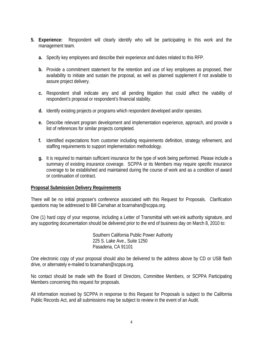- **5. Experience:** Respondent will clearly identify who will be participating in this work and the management team.
	- **a.** Specify key employees and describe their experience and duties related to this RFP.
	- **b.** Provide a commitment statement for the retention and use of key employees as proposed, their availability to initiate and sustain the proposal, as well as planned supplement if not available to assure project delivery.
	- **c.** Respondent shall indicate any and all pending litigation that could affect the viability of respondent's proposal or respondent's financial stability.
	- **d.** Identify existing projects or programs which respondent developed and/or operates.
	- **e.** Describe relevant program development and implementation experience, approach, and provide a list of references for similar projects completed.
	- **f.** Identified expectations from customer including requirements definition, strategy refinement, and staffing requirements to support implementation methodology.
	- **g.** It is required to maintain sufficient insurance for the type of work being performed. Please include a summary of existing insurance coverage. SCPPA or its Members may require specific insurance coverage to be established and maintained during the course of work and as a condition of award or continuation of contract.

#### **Proposal Submission Delivery Requirements**

There will be no initial proposer's conference associated with this Request for Proposals. Clarification questions may be addressed to Bill Carnahan at [bcarnahan@scppa.org](mailto:bcarnahan@scppa.org).

One (1) hard copy of your response, including a Letter of Transmittal with wet-ink authority signature, and any supporting documentation should be delivered prior to the end of business day on March 8, 2010 to:

> Southern California Public Power Authority 225 S. Lake Ave., Suite 1250 Pasadena, CA 91101

One electronic copy of your proposal should also be delivered to the address above by CD or USB flash drive, or alternately e-mailed to [bcarnahan@scppa.org](mailto:bcarnahan@scppa.org).

No contact should be made with the Board of Directors, Committee Members, or SCPPA Participating Members concerning this request for proposals.

All information received by SCPPA in response to this Request for Proposals is subject to the California Public Records Act, and all submissions may be subject to review in the event of an Audit.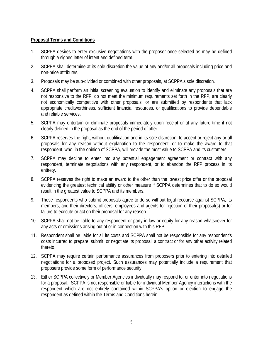#### **Proposal Terms and Conditions**

- 1. SCPPA desires to enter exclusive negotiations with the proposer once selected as may be defined through a signed letter of intent and defined term.
- 2. SCPPA shall determine at its sole discretion the value of any and/or all proposals including price and non-price attributes.
- 3. Proposals may be sub-divided or combined with other proposals, at SCPPA's sole discretion.
- 4. SCPPA shall perform an initial screening evaluation to identify and eliminate any proposals that are not responsive to the RFP, do not meet the minimum requirements set forth in the RFP, are clearly not economically competitive with other proposals, or are submitted by respondents that lack appropriate creditworthiness, sufficient financial resources, or qualifications to provide dependable and reliable services.
- 5. SCPPA may entertain or eliminate proposals immediately upon receipt or at any future time if not clearly defined in the proposal as the end of the period of offer.
- 6. SCPPA reserves the right, without qualification and in its sole discretion, to accept or reject any or all proposals for any reason without explanation to the respondent, or to make the award to that respondent, who, in the opinion of SCPPA, will provide the most value to SCPPA and its customers.
- 7. SCPPA may decline to enter into any potential engagement agreement or contract with any respondent, terminate negotiations with any respondent, or to abandon the RFP process in its entirety.
- 8. SCPPA reserves the right to make an award to the other than the lowest price offer or the proposal evidencing the greatest technical ability or other measure if SCPPA determines that to do so would result in the greatest value to SCPPA and its members.
- 9. Those respondents who submit proposals agree to do so without legal recourse against SCPPA, its members, and their directors, officers, employees and agents for rejection of their proposal(s) or for failure to execute or act on their proposal for any reason.
- 10. SCPPA shall not be liable to any respondent or party in law or equity for any reason whatsoever for any acts or omissions arising out of or in connection with this RFP.
- 11. Respondent shall be liable for all its costs and SCPPA shall not be responsible for any respondent's costs incurred to prepare, submit, or negotiate its proposal, a contract or for any other activity related thereto.
- 12. SCPPA may require certain performance assurances from proposers prior to entering into detailed negotiations for a proposed project. Such assurances may potentially include a requirement that proposers provide some form of performance security.
- 13. Either SCPPA collectively or Member Agencies individually may respond to, or enter into negotiations for a proposal. SCPPA is not responsible or liable for individual Member Agency interactions with the respondent which are not entirely contained within SCPPA's option or election to engage the respondent as defined within the Terms and Conditions herein.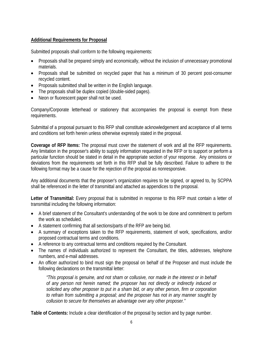#### **Additional Requirements for Proposal**

Submitted proposals shall conform to the following requirements:

- Proposals shall be prepared simply and economically, without the inclusion of unnecessary promotional materials.
- Proposals shall be submitted on recycled paper that has a minimum of 30 percent post-consumer recycled content.
- Proposals submitted shall be written in the English language.
- The proposals shall be duplex copied (double-sided pages).
- Neon or fluorescent paper shall not be used.

Company/Corporate letterhead or stationery that accompanies the proposal is exempt from these requirements.

Submittal of a proposal pursuant to this RFP shall constitute acknowledgement and acceptance of all terms and conditions set forth herein unless otherwise expressly stated in the proposal.

**Coverage of RFP Items:** The proposal must cover the statement of work and all the RFP requirements. Any limitation in the proposer's ability to supply information requested in the RFP or to support or perform a particular function should be stated in detail in the appropriate section of your response. Any omissions or deviations from the requirements set forth in this RFP shall be fully described. Failure to adhere to the following format may be a cause for the rejection of the proposal as nonresponsive.

Any additional documents that the proposer's organization requires to be signed, or agreed to, by SCPPA shall be referenced in the letter of transmittal and attached as appendices to the proposal.

Letter of Transmittal: Every proposal that is submitted in response to this RFP must contain a letter of transmittal including the following information:

- A brief statement of the Consultant's understanding of the work to be done and commitment to perform the work as scheduled.
- A statement confirming that all sections/parts of the RFP are being bid.
- A summary of exceptions taken to the RFP requirements, statement of work, specifications, and/or proposed contractual terms and conditions.
- A reference to any contractual terms and conditions required by the Consultant.
- The names of individuals authorized to represent the Consultant, the titles, addresses, telephone numbers, and e-mail addresses.
- An officer authorized to bind must sign the proposal on behalf of the Proposer and must include the following declarations on the transmittal letter:

*"This proposal is genuine, and not sham or collusive, nor made in the interest or in behalf of any person not herein named; the proposer has not directly or indirectly induced or solicited any other proposer to put in a sham bid, or any other person, firm or corporation to refrain from submitting a proposal; and the proposer has not in any manner sought by collusion to secure for themselves an advantage over any other proposer."* 

**Table of Contents:** Include a clear identification of the proposal by section and by page number.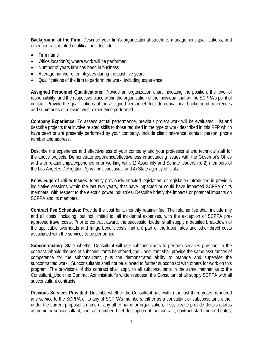**Background of the Firm:** Describe your firm's organizational structure, management qualifications, and other contract related qualifications. Include:

- Firm name
- Office location(s) where work will be performed
- Number of years firm has been in business
- Average number of employees during the past five years
- Qualifications of the firm to perform the work, including experience

**Assigned Personnel Qualifications:** Provide an organization chart indicating the position, the level of responsibility, and the respective place within the organization of the individual that will be SCPPA's point of contact. Provide the qualifications of the assigned personnel. Include educational background, references and summaries of relevant work experience performed.

**Company Experience:** To assess actual performance, previous project work will be evaluated. List and describe projects that involve related skills to those required in the type of work described in this RFP which have been or are presently performed by your company. Include client reference, contact person, phone number and address.

Describe the experience and effectiveness of your company and your professional and technical staff for the above projects. Demonstrate experience/effectiveness in advancing issues with the Governor's Office and with relationships/experience in or working with: 1) Assembly and Senate leadership, 2) members of the Los Angeles Delegation, 3) various caucuses, and 4) State agency officials.

**Knowledge of Utility Issues:** Identify previously enacted legislation, or legislation introduced in previous legislative sessions within the last two years, that have impacted or could have impacted SCPPA or its members, with respect to the electric power industries. Describe briefly the impacts or potential impacts on SCPPA and its members.

**Contract Fee Schedules:** Provide the cost for a monthly retainer fee. The retainer fee shall include any and all costs, including, but not limited to, all incidental expenses, with the exception of SCPPA preapproved travel costs. Prior to contract award, the successful bidder shall supply a detailed breakdown of the applicable overheads and fringe benefit costs that are part of the labor rates and other direct costs associated with the services to be performed.

**Subcontracting:** State whether Consultant will use subconsultants to perform services pursuant to the contract. Should the use of subconsultants be offered, the Consultant shall provide the same assurances of competence for the subconsultant, plus the demonstrated ability to manage and supervise the subcontracted work. Subconsultants shall not be allowed to further subcontract with others for work on this program. The provisions of this contract shall apply to all subconsultants in the same manner as to the Consultant. Upon the Contract Administrator's written request, the Consultant shall supply SCPPA with all subconsultant contracts.

**Previous Services Provided:** Describe whether the Consultant has, within the last three years, rendered any service to the SCPPA or to any of SCPPA's members, either as a consultant or subconsultant, either under the current proposer's name or any other name or organization, If so, please provide details (status as prime or subconsultant, contract number, brief description of the contract, contract start and end dates,